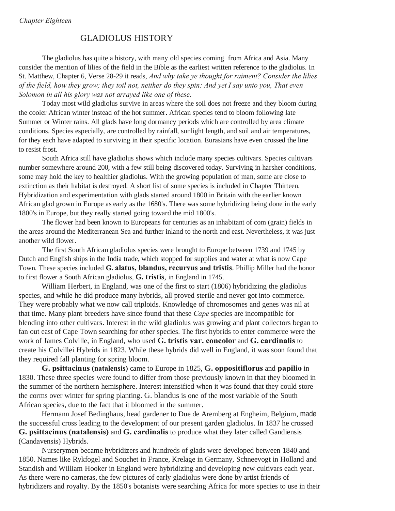## *Chapter Eighteen*

## GLADIOLUS HISTORY

The gladiolus has quite a history, with many old species coming from Africa and Asia. Many consider the mention of lilies of the field in the Bible as the earliest written reference to the gladiolus. In St. Matthew, Chapter 6, Verse 28-29 it reads, *And why take ye thought for raiment? Consider the lilies of the field, how they grow; they toil not, neither do they spin: And yet I say unto you, That even Solomon in all his glory was not arrayed like one of these.* 

Today most wild gladiolus survive in areas where the soil does not freeze and they bloom during the cooler African winter instead of the hot summer. African species tend to bloom following late Summer or Winter rains. All glads have long dormancy periods which are controlled by area climate conditions. Species especially, are controlled by rainfall, sunlight length, and soil and air temperatures, for they each have adapted to surviving in their specific location. Eurasians have even crossed the line to resist frost.

South Africa still have gladiolus shows which include many species cultivars. Species cultivars number somewhere around 200, with a few still being discovered today. Surviving in harsher conditions, some may hold the key to healthier gladiolus. With the growing population of man, some are close to extinction as their habitat is destroyed. A short list of some species is included in Chapter Thirteen. Hybridization and experimentation with glads started around 1800 in Britain with the earlier known African glad grown in Europe as early as the 1680's. There was some hybridizing being done in the early 1800's in Europe, but they really started going toward the mid 1800's. ..

The flower had been known to Europeans for centuries as an inhabitant of com (grain) fields in the areas around the Mediterranean Sea and further inland to the north and east. Nevertheless, it was just another wild flower.

The first South African gladiolus species were brought to Europe between 1739 and 1745 by Dutch and English ships in the India trade, which stopped for supplies and water at what is now Cape Town. These species included **G. alatus, blandus, recurvus and tristis**. Phillip Miller had the honor to first flower a South African gladiolus, **G. tristis**, in England in 1745.

William Herbert, in England, was one of the first to start (1806) hybridizing the gladiolus species, and while he did produce many hybrids, all proved sterile and never got into commerce. They were probably what we now call triploids. Knowledge of chromosomes and genes was nil at that time. Many plant breeders have since found that these *Cape* species are incompatible for blending into other cultivars. Interest in the wild gladiolus was growing and plant collectors began to fan out east of Cape Town searching for other species. The first hybrids to enter commerce were the work of James Colville, in England, who used **G. tristis var. concolor** and **G. cardinalis** to create his Colvillei Hybrids in 1823. While these hybrids did well in England, it was soon found that they required fall planting for spring bloom.

**G. psittacinus (natalensis)** came to Europe in 1825, **G. oppositiflorus** and **papilio** in 1830. These three species were found to differ from those previously known in that they bloomed in the summer of the northern hemisphere. Interest intensified when it was found that they could store the corms over winter for spring planting. G. blandus is one of the most variable of the South African species, due to the fact that it bloomed in the summer.

Hermann Josef Bedinghaus, head gardener to Due de Aremberg at Engheim, Belgium, made the successful cross leading to the development of our present garden gladiolus. In 1837 he crossed **G. psittacinus (natalensis)** and **G. cardinalis** to produce what they later called Gandiensis (Candavensis) Hybrids.

Nurserymen became hybridizers and hundreds of glads were developed between 1840 and 1850. Names like Rykfogel and Souchet in France, Krelage in Germany, Schneevogt in Holland and Standish and William Hooker in England were hybridizing and developing new cultivars each year. As there were no cameras, the few pictures of early gladiolus were done by artist friends of hybridizers and royalty. By the 1850's botanists were searching Africa for more species to use in their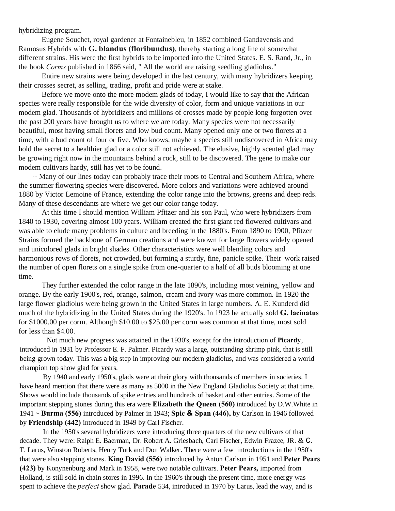hybridizing program.

Eugene Souchet, royal gardener at Fontainebleu, in 1852 combined Gandavensis and Ramosus Hybrids with **G. blandus (floribundus)**, thereby starting a long line of somewhat different strains. His were the first hybrids to be imported into the United States. E. S. Rand, Jr., in the book *Corms* published in 1866 said, " All the world are raising seedling gladiolus."

Entire new strains were being developed in the last century, with many hybridizers keeping their crosses secret, as selling, trading, profit and pride were at stake.

Before we move onto the more modem glads of today, I would like to say that the African species were really responsible for the wide diversity of color, form and unique variations in our modem glad. Thousands of hybridizers and millions of crosses made by people long forgotten over the past 200 years have brought us to where we are today. Many species were not necessarily beautiful, most having small florets and low bud count. Many opened only one or two florets at a time, with a bud count of four or five. Who knows, maybe a species still undiscovered in Africa may hold the secret to a healthier glad or a color still not achieved. The elusive, highly scented glad may be growing right now in the mountains behind a rock, still to be discovered. The gene to make our modem cultivars hardy, still has yet to be found.

Many of our lines today can probably trace their roots to Central and Southern Africa, where the summer flowering species were discovered. More colors and variations were achieved around 1880 by Victor Lemoine of France, extending the color range into the browns, greens and deep reds. Many of these descendants are where we get our color range today.

At this time I should mention William Pfitzer and his son Paul, who were hybridizers from 1840 to 1930, covering almost 100 years. William created the first giant red flowered cultivars and was able to elude many problems in culture and breeding in the 1880's. From 1890 to 1900, Pfitzer Strains formed the backbone of German creations and were known for large flowers widely opened and unicolored glads in bright shades. Other characteristics were well blending colors and harmonious rows of florets, not crowded, but forming a sturdy, fine, panicle spike. Their' work raised the number of open florets on a single spike from one-quarter to a half of all buds blooming at one time.

They further extended the color range in the late 1890's, including most veining, yellow and orange. By the early 1900's, red, orange, salmon, cream and ivory was more common. In 1920 the large flower gladiolus were being grown in the United States in large numbers. A. E. Kunderd did much of the hybridizing in the United States during the 1920's. In 1923 he actually sold **G. lacinatus** for \$1000.00 per corm. Although \$10.00 to \$25.00 per corm was common at that time, most sold for less than \$4.00.

Not much new progress was attained in the 1930's, except for the introduction of **Picardy**, introduced in 1931 by Professor E. F. Palmer. Picardy was a large, outstanding shrimp pink, that is still being grown today. This was a big step in improving our modern gladiolus, and was considered a world champion top show glad for years.

By 1940 and early 1950's, glads were at their glory with thousands of members in societies. I have heard mention that there were as many as 5000 in the New England Gladiolus Society at that time. Shows would include thousands of spike entries and hundreds of basket and other entries. Some of the important stepping stones during this era were **Elizabeth the Queen (560)** introduced by D.W.White in 1941 ~ **Burma (556)** introduced by Palmer in 1943; **Spic & Span (446),** by Carlson in 1946 followed by **Friendship (442)** introduced in 1949 by Carl Fischer.

In the 1950's several hybridizers were introducing three quarters of the new cultivars of that decade. They were: Ralph E. Baerman, Dr. Robert A. Griesbach, Carl Fischer, Edwin Frazee, JR. & C. T. Larus, Winston Roberts, Henry Turk and Don Walker. There were a few introductions in the 1950's that were also stepping stones. **King David (556)** introduced by Anton Carlson in 1951 and **Peter Pears (423)** by Konynenburg and Mark in 1958, were two notable cultivars. **Peter Pears,** imported from Holland, is still sold in chain stores in 1996. In the 1960's through the present time, more energy was spent to achieve the *perfect* show glad. **Parade** 534, introduced in 1970 by Larus, lead the way, and is